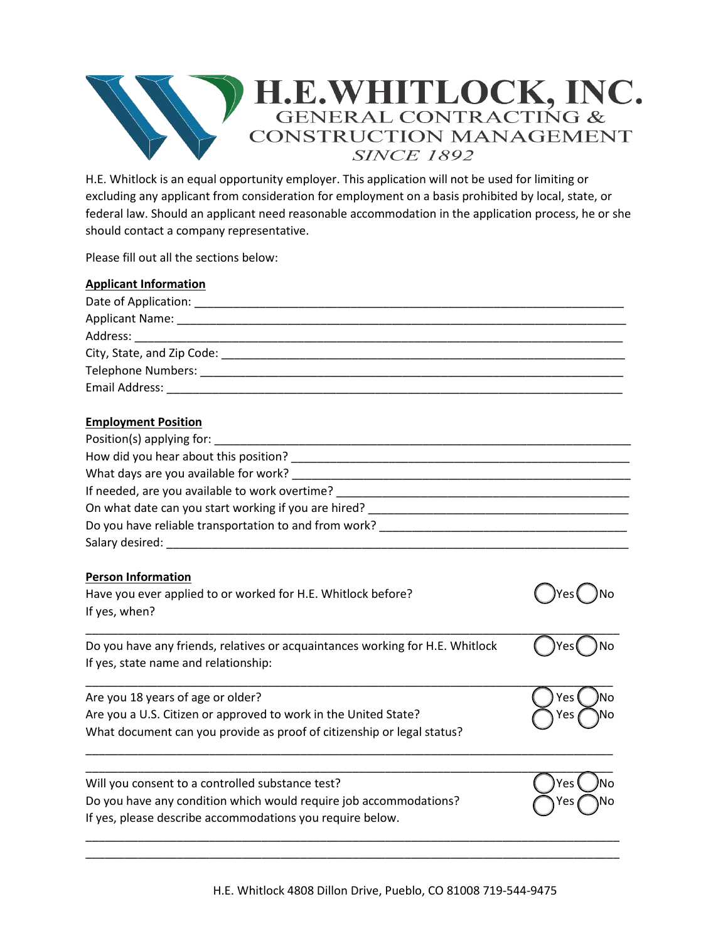

H.E. Whitlock is an equal opportunity employer. This application will not be used for limiting or excluding any applicant from consideration for employment on a basis prohibited by local, state, or federal law. Should an applicant need reasonable accommodation in the application process, he or she should contact a company representative.

Please fill out all the sections below:

| <b>Applicant Information</b>                                                           |
|----------------------------------------------------------------------------------------|
|                                                                                        |
|                                                                                        |
|                                                                                        |
|                                                                                        |
|                                                                                        |
|                                                                                        |
| <b>Employment Position</b>                                                             |
|                                                                                        |
|                                                                                        |
|                                                                                        |
|                                                                                        |
|                                                                                        |
|                                                                                        |
|                                                                                        |
| <b>Person Information</b>                                                              |
| Have you ever applied to or worked for H.E. Whitlock before?<br>)Yes (                 |
| If yes, when?                                                                          |
| Do you have any friends, relatives or acquaintances working for H.E. Whitlock<br>Yes ( |
| If yes, state name and relationship:                                                   |
| Are you 18 years of age or older?<br>Yes                                               |
| Are you a U.S. Citizen or approved to work in the United State?<br>Yes                 |
| What document can you provide as proof of citizenship or legal status?                 |
| Will you consent to a controlled substance test?<br>Yes                                |
| Do you have any condition which would require job accommodations?<br>'es               |
| If yes, please describe accommodations you require below.                              |

\_\_\_\_\_\_\_\_\_\_\_\_\_\_\_\_\_\_\_\_\_\_\_\_\_\_\_\_\_\_\_\_\_\_\_\_\_\_\_\_\_\_\_\_\_\_\_\_\_\_\_\_\_\_\_\_\_\_\_\_\_\_\_\_\_\_\_\_\_\_\_\_\_\_\_\_\_\_\_\_\_\_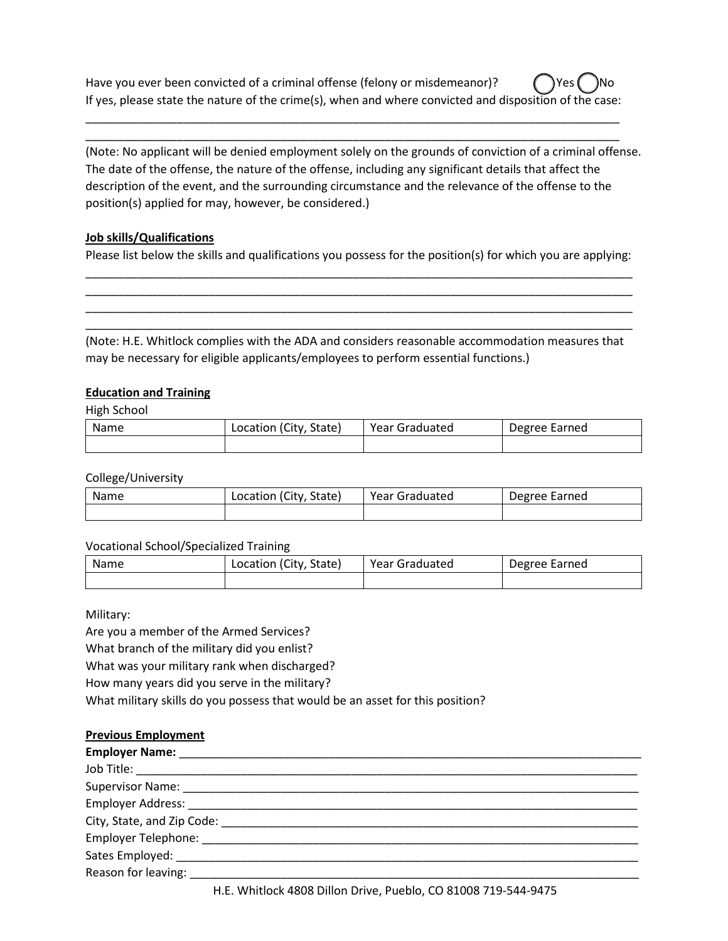Have you ever been convicted of a criminal offense (felony or misdemeanor)?  $\left( \right)$  Yes If yes, please state the nature of the crime(s), when and where convicted and disposition of the case:

\_\_\_\_\_\_\_\_\_\_\_\_\_\_\_\_\_\_\_\_\_\_\_\_\_\_\_\_\_\_\_\_\_\_\_\_\_\_\_\_\_\_\_\_\_\_\_\_\_\_\_\_\_\_\_\_\_\_\_\_\_\_\_\_\_\_\_\_\_\_\_\_\_\_\_\_\_\_\_\_\_\_ \_\_\_\_\_\_\_\_\_\_\_\_\_\_\_\_\_\_\_\_\_\_\_\_\_\_\_\_\_\_\_\_\_\_\_\_\_\_\_\_\_\_\_\_\_\_\_\_\_\_\_\_\_\_\_\_\_\_\_\_\_\_\_\_\_\_\_\_\_\_\_\_\_\_\_\_\_\_\_\_\_\_

(Note: No applicant will be denied employment solely on the grounds of conviction of a criminal offense. The date of the offense, the nature of the offense, including any significant details that affect the description of the event, and the surrounding circumstance and the relevance of the offense to the position(s) applied for may, however, be considered.)

## **Job skills/Qualifications**

Please list below the skills and qualifications you possess for the position(s) for which you are applying: \_\_\_\_\_\_\_\_\_\_\_\_\_\_\_\_\_\_\_\_\_\_\_\_\_\_\_\_\_\_\_\_\_\_\_\_\_\_\_\_\_\_\_\_\_\_\_\_\_\_\_\_\_\_\_\_\_\_\_\_\_\_\_\_\_\_\_\_\_\_\_\_\_\_\_\_\_\_\_\_\_\_\_\_

\_\_\_\_\_\_\_\_\_\_\_\_\_\_\_\_\_\_\_\_\_\_\_\_\_\_\_\_\_\_\_\_\_\_\_\_\_\_\_\_\_\_\_\_\_\_\_\_\_\_\_\_\_\_\_\_\_\_\_\_\_\_\_\_\_\_\_\_\_\_\_\_\_\_\_\_\_\_\_\_\_\_\_\_ \_\_\_\_\_\_\_\_\_\_\_\_\_\_\_\_\_\_\_\_\_\_\_\_\_\_\_\_\_\_\_\_\_\_\_\_\_\_\_\_\_\_\_\_\_\_\_\_\_\_\_\_\_\_\_\_\_\_\_\_\_\_\_\_\_\_\_\_\_\_\_\_\_\_\_\_\_\_\_\_\_\_\_\_ \_\_\_\_\_\_\_\_\_\_\_\_\_\_\_\_\_\_\_\_\_\_\_\_\_\_\_\_\_\_\_\_\_\_\_\_\_\_\_\_\_\_\_\_\_\_\_\_\_\_\_\_\_\_\_\_\_\_\_\_\_\_\_\_\_\_\_\_\_\_\_\_\_\_\_\_\_\_\_\_\_\_\_\_

(Note: H.E. Whitlock complies with the ADA and considers reasonable accommodation measures that may be necessary for eligible applicants/employees to perform essential functions.)

# **Education and Training**

High School

| Name | Location (City, State) | Year Graduated | Degree Earned |
|------|------------------------|----------------|---------------|
|      |                        |                |               |

College/University

| Name | Location (City, State) | Year Graduated | Degree Earned |
|------|------------------------|----------------|---------------|
|      |                        |                |               |

## Vocational School/Specialized Training

| Name | Location (City, State) | Year Graduated | Degree Earned |
|------|------------------------|----------------|---------------|
|      |                        |                |               |

Military:

Are you a member of the Armed Services?

What branch of the military did you enlist?

What was your military rank when discharged?

How many years did you serve in the military?

What military skills do you possess that would be an asset for this position?

|                                                                                                                                                                                                                                | <b>Previous Employment</b> |
|--------------------------------------------------------------------------------------------------------------------------------------------------------------------------------------------------------------------------------|----------------------------|
| the contract of the contract of the contract of the contract of the contract of the contract of the contract of the contract of the contract of the contract of the contract of the contract of the contract of the contract o |                            |

| <b>Employer Name:</b>                                                                                                                                                                                                          |
|--------------------------------------------------------------------------------------------------------------------------------------------------------------------------------------------------------------------------------|
|                                                                                                                                                                                                                                |
|                                                                                                                                                                                                                                |
|                                                                                                                                                                                                                                |
| City, State, and Zip Code:                                                                                                                                                                                                     |
| Employer Telephone: The contract of the contract of the contract of the contract of the contract of the contract of the contract of the contract of the contract of the contract of the contract of the contract of the contra |
| Sates Employed: _____________                                                                                                                                                                                                  |
| Reason for leaving:                                                                                                                                                                                                            |